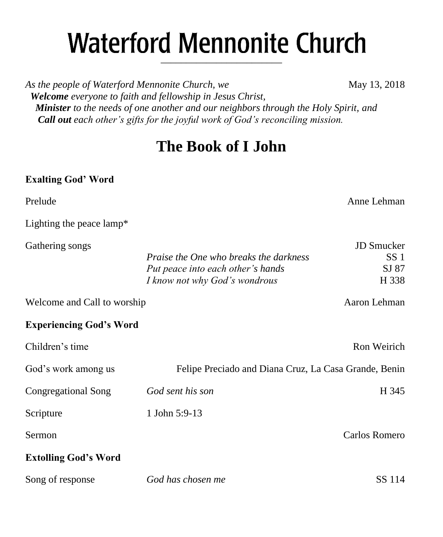# **Waterford Mennonite Church** \_\_\_\_\_\_\_\_\_\_\_\_\_\_\_\_\_\_\_\_\_\_\_\_

*As the people of Waterford Mennonite Church, we* May 13, 2018  *Welcome everyone to faith and fellowship in Jesus Christ, Minister to the needs of one another and our neighbors through the Holy Spirit, and Call out each other's gifts for the joyful work of God's reconciling mission.*

## **The Book of I John**

## **Exalting God' Word**

| Prelude                        |                                                                                                                     | Anne Lehman                                     |
|--------------------------------|---------------------------------------------------------------------------------------------------------------------|-------------------------------------------------|
| Lighting the peace lamp*       |                                                                                                                     |                                                 |
| Gathering songs                | <i>Praise the One who breaks the darkness</i><br>Put peace into each other's hands<br>I know not why God's wondrous | JD Smucker<br>SS <sub>1</sub><br>SJ 87<br>H 338 |
| Welcome and Call to worship    |                                                                                                                     | Aaron Lehman                                    |
| <b>Experiencing God's Word</b> |                                                                                                                     |                                                 |
| Children's time                |                                                                                                                     | Ron Weirich                                     |
| God's work among us            | Felipe Preciado and Diana Cruz, La Casa Grande, Benin                                                               |                                                 |
| Congregational Song            | God sent his son                                                                                                    | H 345                                           |
| Scripture                      | 1 John 5:9-13                                                                                                       |                                                 |
| Sermon                         |                                                                                                                     | Carlos Romero                                   |
| <b>Extolling God's Word</b>    |                                                                                                                     |                                                 |
| Song of response               | God has chosen me                                                                                                   | SS 114                                          |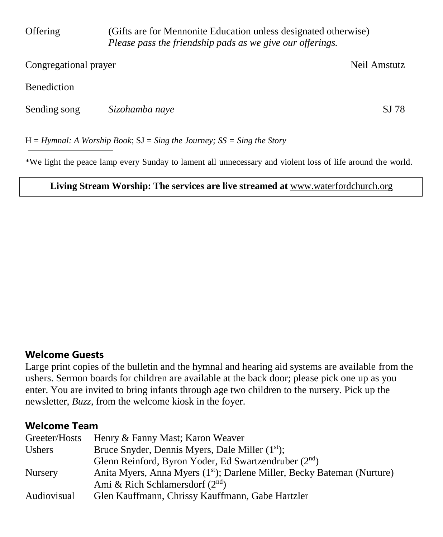| Offering              | (Gifts are for Mennonite Education unless designated otherwise)<br>Please pass the friendship pads as we give our offerings. |              |  |
|-----------------------|------------------------------------------------------------------------------------------------------------------------------|--------------|--|
| Congregational prayer |                                                                                                                              | Neil Amstutz |  |
| Benediction           |                                                                                                                              |              |  |
| Sending song          | Sizohamba naye                                                                                                               | SJ 78        |  |
|                       | $H = HY$ mnal: A Worship Book; SJ = Sing the Journey; SS = Sing the Story                                                    |              |  |

\*We light the peace lamp every Sunday to lament all unnecessary and violent loss of life around the world.

#### **Living Stream Worship: The services are live streamed at** [www.waterfordchurch.org](http://www.waterfordchurch.org/)

#### **Welcome Guests**

Large print copies of the bulletin and the hymnal and hearing aid systems are available from the ushers. Sermon boards for children are available at the back door; please pick one up as you enter. You are invited to bring infants through age two children to the nursery. Pick up the newsletter, *Buzz,* from the welcome kiosk in the foyer.

#### **Welcome Team**

| Greeter/Hosts  | Henry & Fanny Mast; Karon Weaver                                                    |
|----------------|-------------------------------------------------------------------------------------|
| Ushers         | Bruce Snyder, Dennis Myers, Dale Miller (1 <sup>st</sup> );                         |
|                | Glenn Reinford, Byron Yoder, Ed Swartzendruber $(2^{nd})$                           |
| <b>Nursery</b> | Anita Myers, Anna Myers (1 <sup>st</sup> ); Darlene Miller, Becky Bateman (Nurture) |
|                | Ami & Rich Schlamersdorf $(2nd)$                                                    |
| Audiovisual    | Glen Kauffmann, Chrissy Kauffmann, Gabe Hartzler                                    |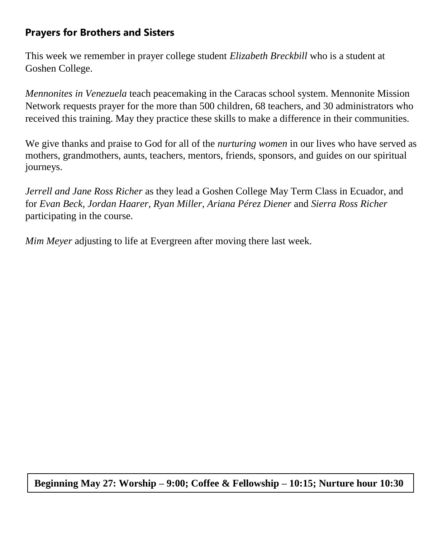## **Prayers for Brothers and Sisters**

This week we remember in prayer college student *Elizabeth Breckbill* who is a student at Goshen College.

*Mennonites in Venezuela* teach peacemaking in the Caracas school system. Mennonite Mission Network requests prayer for the more than 500 children, 68 teachers, and 30 administrators who received this training. May they practice these skills to make a difference in their communities.

We give thanks and praise to God for all of the *nurturing women* in our lives who have served as mothers, grandmothers, aunts, teachers, mentors, friends, sponsors, and guides on our spiritual journeys.

*Jerrell and Jane Ross Richer* as they lead a Goshen College May Term Class in Ecuador, and for *Evan Beck, Jordan Haarer, Ryan Miller, Ariana Pérez Diener* and *Sierra Ross Richer* participating in the course.

*Mim Meyer* adjusting to life at Evergreen after moving there last week.

**Beginning May 27: Worship – 9:00; Coffee & Fellowship – 10:15; Nurture hour 10:30**